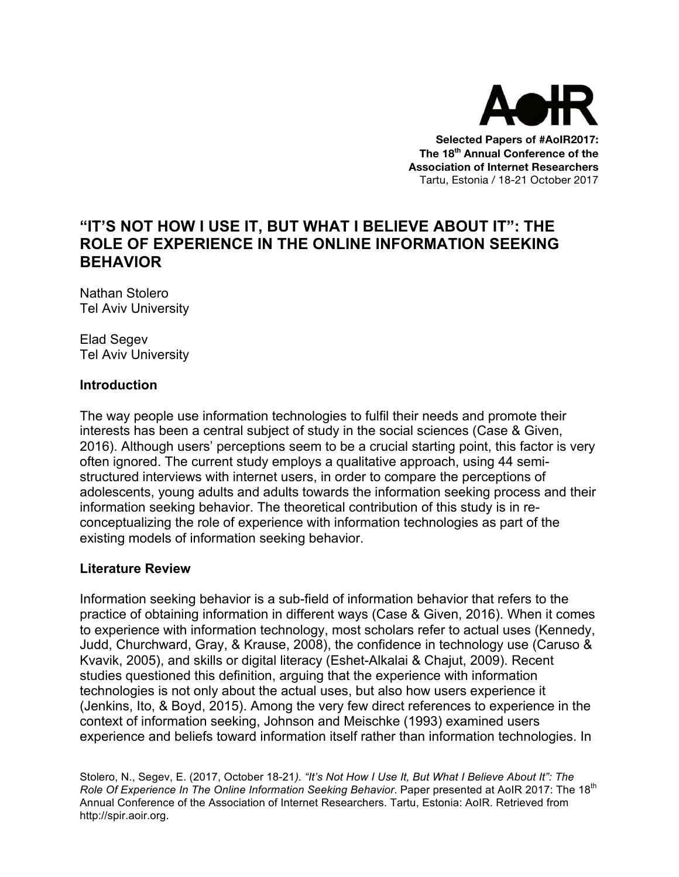

**Selected Papers of #AoIR2017: The 18th Annual Conference of the Association of Internet Researchers** Tartu, Estonia / 18-21 October 2017

# **"IT'S NOT HOW I USE IT, BUT WHAT I BELIEVE ABOUT IT": THE ROLE OF EXPERIENCE IN THE ONLINE INFORMATION SEEKING BEHAVIOR**

Nathan Stolero Tel Aviv University

Elad Segev Tel Aviv University

### **Introduction**

The way people use information technologies to fulfil their needs and promote their interests has been a central subject of study in the social sciences (Case & Given, 2016). Although users' perceptions seem to be a crucial starting point, this factor is very often ignored. The current study employs a qualitative approach, using 44 semistructured interviews with internet users, in order to compare the perceptions of adolescents, young adults and adults towards the information seeking process and their information seeking behavior. The theoretical contribution of this study is in reconceptualizing the role of experience with information technologies as part of the existing models of information seeking behavior.

### **Literature Review**

Information seeking behavior is a sub-field of information behavior that refers to the practice of obtaining information in different ways (Case & Given, 2016). When it comes to experience with information technology, most scholars refer to actual uses (Kennedy, Judd, Churchward, Gray, & Krause, 2008), the confidence in technology use (Caruso & Kvavik, 2005), and skills or digital literacy (Eshet-Alkalai & Chajut, 2009). Recent studies questioned this definition, arguing that the experience with information technologies is not only about the actual uses, but also how users experience it (Jenkins, Ito, & Boyd, 2015). Among the very few direct references to experience in the context of information seeking, Johnson and Meischke (1993) examined users experience and beliefs toward information itself rather than information technologies. In

Stolero, N., Segev, E. (2017, October 18-21*). "It's Not How I Use It, But What I Believe About It": The Role Of Experience In The Online Information Seeking Behavior. Paper presented at AoIR 2017: The 18<sup>th</sup>* Annual Conference of the Association of Internet Researchers. Tartu, Estonia: AoIR. Retrieved from http://spir.aoir.org.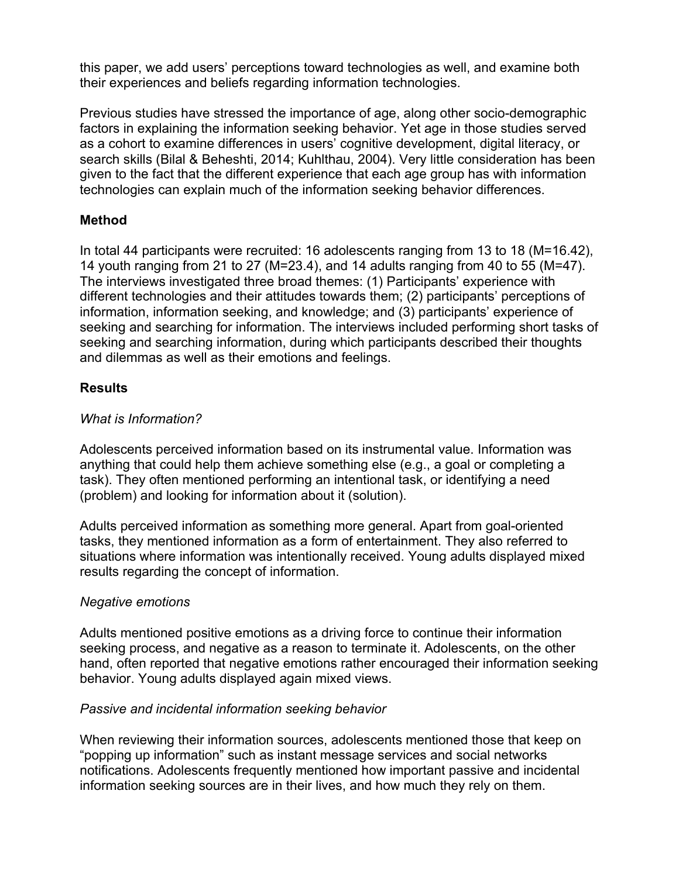this paper, we add users' perceptions toward technologies as well, and examine both their experiences and beliefs regarding information technologies.

Previous studies have stressed the importance of age, along other socio-demographic factors in explaining the information seeking behavior. Yet age in those studies served as a cohort to examine differences in users' cognitive development, digital literacy, or search skills (Bilal & Beheshti, 2014; Kuhlthau, 2004). Very little consideration has been given to the fact that the different experience that each age group has with information technologies can explain much of the information seeking behavior differences.

### **Method**

In total 44 participants were recruited: 16 adolescents ranging from 13 to 18 (M=16.42), 14 youth ranging from 21 to 27 (M=23.4), and 14 adults ranging from 40 to 55 (M=47). The interviews investigated three broad themes: (1) Participants' experience with different technologies and their attitudes towards them; (2) participants' perceptions of information, information seeking, and knowledge; and (3) participants' experience of seeking and searching for information. The interviews included performing short tasks of seeking and searching information, during which participants described their thoughts and dilemmas as well as their emotions and feelings.

# **Results**

# *What is Information?*

Adolescents perceived information based on its instrumental value. Information was anything that could help them achieve something else (e.g., a goal or completing a task). They often mentioned performing an intentional task, or identifying a need (problem) and looking for information about it (solution).

Adults perceived information as something more general. Apart from goal-oriented tasks, they mentioned information as a form of entertainment. They also referred to situations where information was intentionally received. Young adults displayed mixed results regarding the concept of information.

# *Negative emotions*

Adults mentioned positive emotions as a driving force to continue their information seeking process, and negative as a reason to terminate it. Adolescents, on the other hand, often reported that negative emotions rather encouraged their information seeking behavior. Young adults displayed again mixed views.

# *Passive and incidental information seeking behavior*

When reviewing their information sources, adolescents mentioned those that keep on "popping up information" such as instant message services and social networks notifications. Adolescents frequently mentioned how important passive and incidental information seeking sources are in their lives, and how much they rely on them.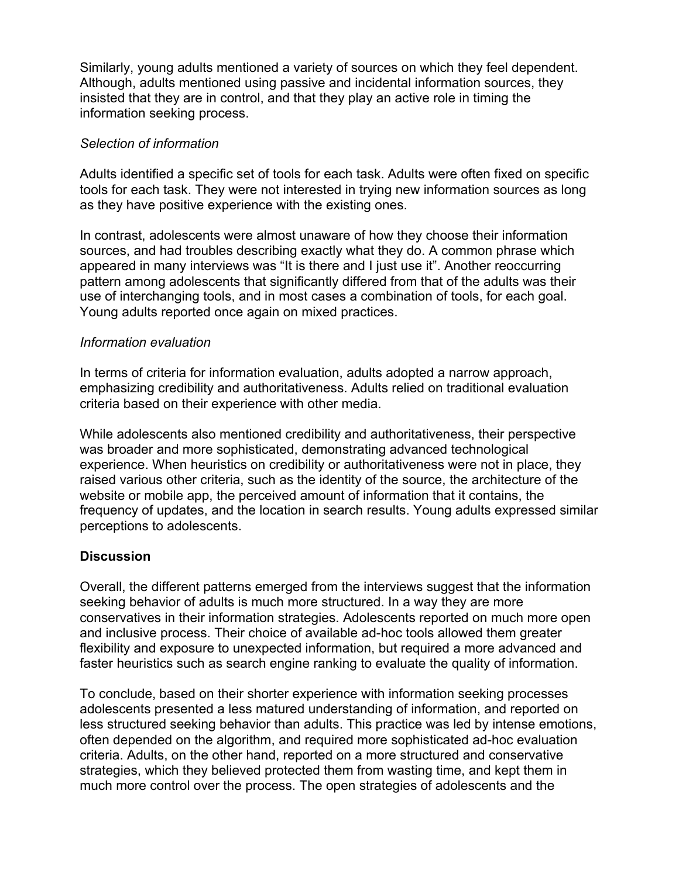Similarly, young adults mentioned a variety of sources on which they feel dependent. Although, adults mentioned using passive and incidental information sources, they insisted that they are in control, and that they play an active role in timing the information seeking process.

#### *Selection of information*

Adults identified a specific set of tools for each task. Adults were often fixed on specific tools for each task. They were not interested in trying new information sources as long as they have positive experience with the existing ones.

In contrast, adolescents were almost unaware of how they choose their information sources, and had troubles describing exactly what they do. A common phrase which appeared in many interviews was "It is there and I just use it". Another reoccurring pattern among adolescents that significantly differed from that of the adults was their use of interchanging tools, and in most cases a combination of tools, for each goal. Young adults reported once again on mixed practices.

#### *Information evaluation*

In terms of criteria for information evaluation, adults adopted a narrow approach, emphasizing credibility and authoritativeness. Adults relied on traditional evaluation criteria based on their experience with other media.

While adolescents also mentioned credibility and authoritativeness, their perspective was broader and more sophisticated, demonstrating advanced technological experience. When heuristics on credibility or authoritativeness were not in place, they raised various other criteria, such as the identity of the source, the architecture of the website or mobile app, the perceived amount of information that it contains, the frequency of updates, and the location in search results. Young adults expressed similar perceptions to adolescents.

### **Discussion**

Overall, the different patterns emerged from the interviews suggest that the information seeking behavior of adults is much more structured. In a way they are more conservatives in their information strategies. Adolescents reported on much more open and inclusive process. Their choice of available ad-hoc tools allowed them greater flexibility and exposure to unexpected information, but required a more advanced and faster heuristics such as search engine ranking to evaluate the quality of information.

To conclude, based on their shorter experience with information seeking processes adolescents presented a less matured understanding of information, and reported on less structured seeking behavior than adults. This practice was led by intense emotions, often depended on the algorithm, and required more sophisticated ad-hoc evaluation criteria. Adults, on the other hand, reported on a more structured and conservative strategies, which they believed protected them from wasting time, and kept them in much more control over the process. The open strategies of adolescents and the